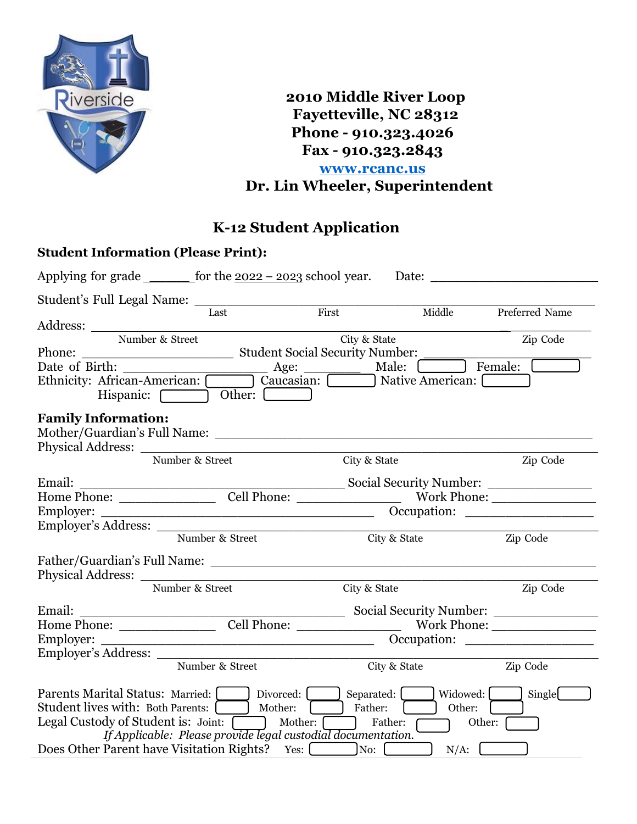

**2010 Middle River Loop Fayetteville, NC 28312 Phone - 910.323.4026 Fax - 910.323.2843 www.rcanc.us Dr. Lin Wheeler, Superintendent**

# **K-12 Student Application**

|                            | <b>Student Information (Please Print):</b>                                                                                                                                                                                                                                                |              |              |                                           |
|----------------------------|-------------------------------------------------------------------------------------------------------------------------------------------------------------------------------------------------------------------------------------------------------------------------------------------|--------------|--------------|-------------------------------------------|
|                            | Applying for grade $\frac{1}{2022 - 2023}$ school year. Date:                                                                                                                                                                                                                             |              |              |                                           |
|                            | Last                                                                                                                                                                                                                                                                                      | First        |              | Middle Preferred Name                     |
|                            |                                                                                                                                                                                                                                                                                           |              |              |                                           |
|                            | Number & Street                                                                                                                                                                                                                                                                           | City & State |              | Zip Code                                  |
|                            |                                                                                                                                                                                                                                                                                           |              |              |                                           |
|                            | Date of Birth: <u>Age: Male:</u> Male: <del>Male: Ethnicity: African-American: <u>Caucasia</u>n: Caucasian: Male: Caucasian: Caucasian: Caucasian: Caucasian: Caucasian: Caucasian: Caucasian: Caucasian: Caucasian: Caucasian: Caucasian: C</del><br>Hispanic: <b>Other:</b> Comparent   |              |              |                                           |
| <b>Family Information:</b> |                                                                                                                                                                                                                                                                                           |              |              |                                           |
|                            | Physical Address: Number & Street                                                                                                                                                                                                                                                         | City & State |              | Zip Code                                  |
|                            |                                                                                                                                                                                                                                                                                           |              |              |                                           |
|                            |                                                                                                                                                                                                                                                                                           |              |              |                                           |
|                            |                                                                                                                                                                                                                                                                                           |              |              |                                           |
|                            | Employer's Address:                                                                                                                                                                                                                                                                       |              |              |                                           |
|                            | Number & Street                                                                                                                                                                                                                                                                           |              | City & State | Zip Code                                  |
|                            |                                                                                                                                                                                                                                                                                           |              |              |                                           |
|                            | Number & Street                                                                                                                                                                                                                                                                           | City & State |              | Zip Code                                  |
|                            |                                                                                                                                                                                                                                                                                           |              |              | Social Security Number: _________________ |
|                            | Home Phone: Cell Phone: Work Phone:                                                                                                                                                                                                                                                       |              |              |                                           |
|                            |                                                                                                                                                                                                                                                                                           |              |              |                                           |
|                            |                                                                                                                                                                                                                                                                                           |              |              |                                           |
|                            | Number & Street                                                                                                                                                                                                                                                                           |              | City & State | Zip Code                                  |
|                            | Parents Marital Status: Married: Divorced: Separated: [ ] Widowed: [ ]<br>Student lives with: Both Parents: Mother: [13] Mother: Father: [23] Other:<br>Legal Custody of Student is: Joint: [1994] Mother: [1995] Father:<br>If Applicable: Please provide legal custodial documentation. |              |              | Single<br>Other: $\sqrt{\phantom{a}}$     |
|                            | Does Other Parent have Visitation Rights? Yes: No: No:                                                                                                                                                                                                                                    |              | $N/A$ :      |                                           |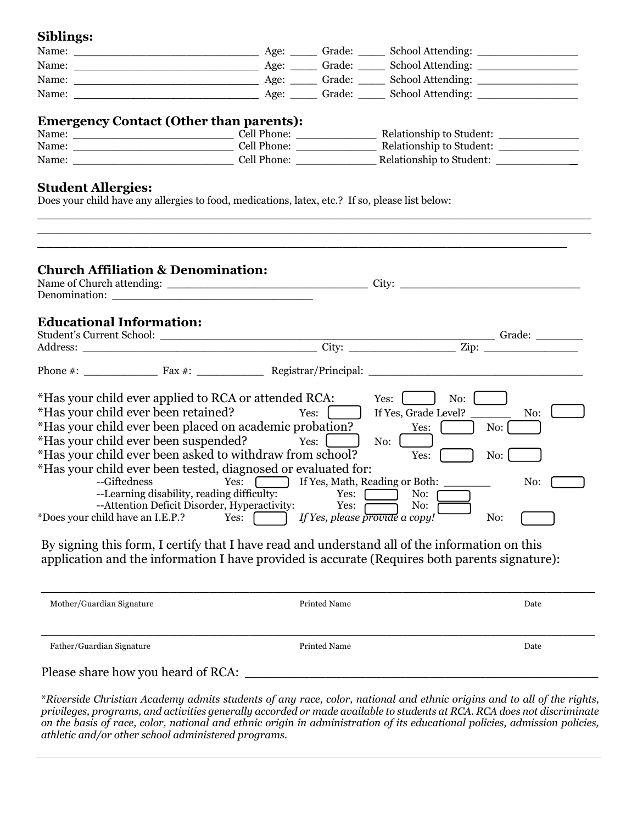#### **Siblings:**

| Name: | Age: | Grade: | School Attending: |
|-------|------|--------|-------------------|
| Name: | Age: | Grade: | School Attending: |
| Name: | Age: | Grade: | School Attending: |
| Name: | Age: | Grade: | School Attending: |

### **Emergency Contact (Other than parents):**

| Name: | Cell Phone: | Relationship to Student: |
|-------|-------------|--------------------------|
| Name: | Cell Phone: | Relationship to Student: |
| Name: | Cell Phone: | Relationship to Student: |

\_\_\_\_\_\_\_\_\_\_\_\_\_\_\_\_\_\_\_\_\_\_\_\_\_\_\_\_\_\_\_\_\_\_\_\_\_\_\_\_\_\_\_\_\_\_\_\_\_\_\_\_\_\_\_\_\_\_\_\_\_\_\_\_\_\_\_\_\_ \_\_\_\_\_\_\_\_\_\_\_\_\_\_\_\_\_\_\_\_\_\_\_\_\_\_\_\_\_\_\_\_\_\_\_\_\_\_\_\_\_\_\_\_\_\_\_\_\_\_\_\_\_\_\_\_\_\_\_\_\_\_\_\_\_\_\_\_\_

#### **Student Allergies:**

Does your child have any allergies to food, medications, latex, etc.? If so, please list below:

| Name of Church attending:<br>Denomination:                                     |        | City:                                          |
|--------------------------------------------------------------------------------|--------|------------------------------------------------|
|                                                                                |        |                                                |
| <b>Educational Information:</b>                                                |        |                                                |
|                                                                                |        |                                                |
|                                                                                |        |                                                |
| Phone #: $\frac{1}{2}$ Fax #: $\frac{1}{2}$ Registrar/Principal: $\frac{1}{2}$ |        |                                                |
| *Has your child ever applied to RCA or attended RCA:                           |        | Yes:<br>No:                                    |
| *Has your child ever been retained? Yes: [                                     |        | If Yes, Grade Level?<br>No:                    |
| *Has your child ever been placed on academic probation?                        |        | Yes:<br>No:                                    |
| *Has your child ever been suspended?                                           | Yes:   | No:                                            |
|                                                                                |        | Yes:<br>No:                                    |
|                                                                                |        |                                                |
| *Has your child ever been asked to withdraw from school?                       |        |                                                |
| *Has your child ever been tested, diagnosed or evaluated for:<br>--Giftedness  |        | No:                                            |
| --Learning disability, reading difficulty:                                     | Yes: [ | Yes: [ ] If Yes, Math, Reading or Both:<br>No: |
| --Attention Deficit Disorder, Hyperactivity: Yes:                              |        | No: $\overline{0}$                             |

By signing this form, I certify that I have read and understand all of the information on this application and the information I have provided is accurate (Requires both parents signature):

| Printed Name | Date |
|--------------|------|
|              |      |

\**Riverside Christian Academy admits students of any race, color, national and ethnic origins and to all of the rights, privileges, programs, and activities generally accorded or made available to students at RCA. RCA does not discriminate on the basis of race, color, national and ethnic origin in administration of its educational policies, admission policies, athletic and/or other school administered programs.*